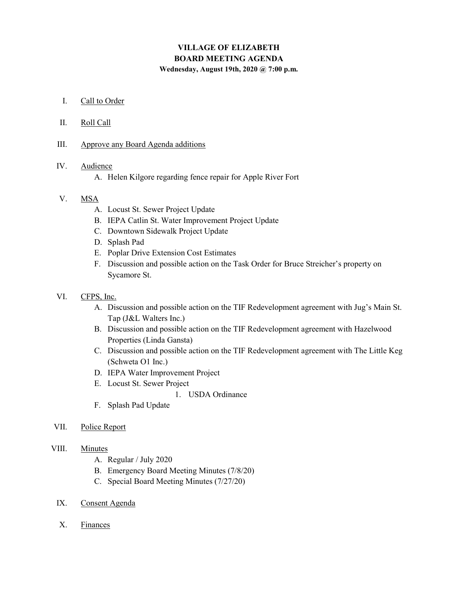# VILLAGE OF ELIZABETH BOARD MEETING AGENDA

Wednesday, August 19th, 2020 @ 7:00 p.m.

- I. Call to Order
- II. Roll Call
- III. Approve any Board Agenda additions

#### IV. Audience

A. Helen Kilgore regarding fence repair for Apple River Fort

#### V. MSA

- A. Locust St. Sewer Project Update
- B. IEPA Catlin St. Water Improvement Project Update
- C. Downtown Sidewalk Project Update
- D. Splash Pad
- E. Poplar Drive Extension Cost Estimates
- F. Discussion and possible action on the Task Order for Bruce Streicher's property on Sycamore St.
- VI. CFPS, Inc.
	- A. Discussion and possible action on the TIF Redevelopment agreement with Jug's Main St. Tap (J&L Walters Inc.)
	- B. Discussion and possible action on the TIF Redevelopment agreement with Hazelwood Properties (Linda Gansta)
	- C. Discussion and possible action on the TIF Redevelopment agreement with The Little Keg (Schweta O1 Inc.)
	- D. IEPA Water Improvement Project
	- E. Locust St. Sewer Project

1. USDA Ordinance

- F. Splash Pad Update
- VII. Police Report

### VIII. Minutes

- A. Regular / July 2020
- B. Emergency Board Meeting Minutes (7/8/20)
- C. Special Board Meeting Minutes (7/27/20)
- IX. Consent Agenda
- X. Finances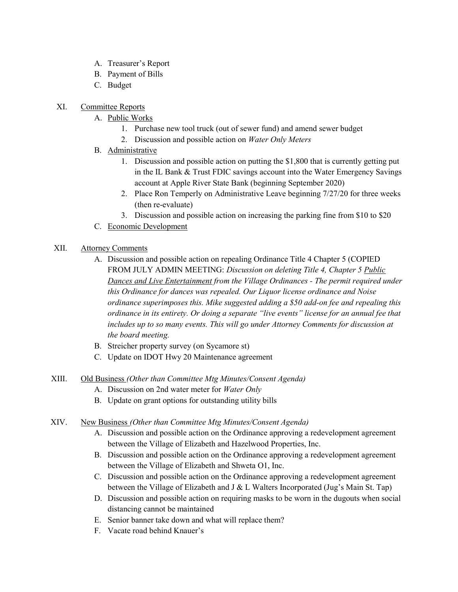- A. Treasurer's Report
- B. Payment of Bills
- C. Budget
- XI. Committee Reports
	- A. Public Works
		- 1. Purchase new tool truck (out of sewer fund) and amend sewer budget
		- 2. Discussion and possible action on Water Only Meters
	- B. Administrative
		- 1. Discussion and possible action on putting the \$1,800 that is currently getting put in the IL Bank & Trust FDIC savings account into the Water Emergency Savings account at Apple River State Bank (beginning September 2020)
		- 2. Place Ron Temperly on Administrative Leave beginning 7/27/20 for three weeks (then re-evaluate)
		- 3. Discussion and possible action on increasing the parking fine from \$10 to \$20
	- C. Economic Development

### XII. Attorney Comments

- A. Discussion and possible action on repealing Ordinance Title 4 Chapter 5 (COPIED FROM JULY ADMIN MEETING: Discussion on deleting Title 4, Chapter 5 Public Dances and Live Entertainment from the Village Ordinances - The permit required under this Ordinance for dances was repealed. Our Liquor license ordinance and Noise ordinance superimposes this. Mike suggested adding a \$50 add-on fee and repealing this ordinance in its entirety. Or doing a separate "live events" license for an annual fee that includes up to so many events. This will go under Attorney Comments for discussion at the board meeting.
- B. Streicher property survey (on Sycamore st)
- C. Update on IDOT Hwy 20 Maintenance agreement
- XIII. Old Business (Other than Committee Mtg Minutes/Consent Agenda)
	- A. Discussion on 2nd water meter for Water Only
	- B. Update on grant options for outstanding utility bills
- XIV. New Business (Other than Committee Mtg Minutes/Consent Agenda)
	- A. Discussion and possible action on the Ordinance approving a redevelopment agreement between the Village of Elizabeth and Hazelwood Properties, Inc.
	- B. Discussion and possible action on the Ordinance approving a redevelopment agreement between the Village of Elizabeth and Shweta O1, Inc.
	- C. Discussion and possible action on the Ordinance approving a redevelopment agreement between the Village of Elizabeth and J & L Walters Incorporated (Jug's Main St. Tap)
	- D. Discussion and possible action on requiring masks to be worn in the dugouts when social distancing cannot be maintained
	- E. Senior banner take down and what will replace them?
	- F. Vacate road behind Knauer's